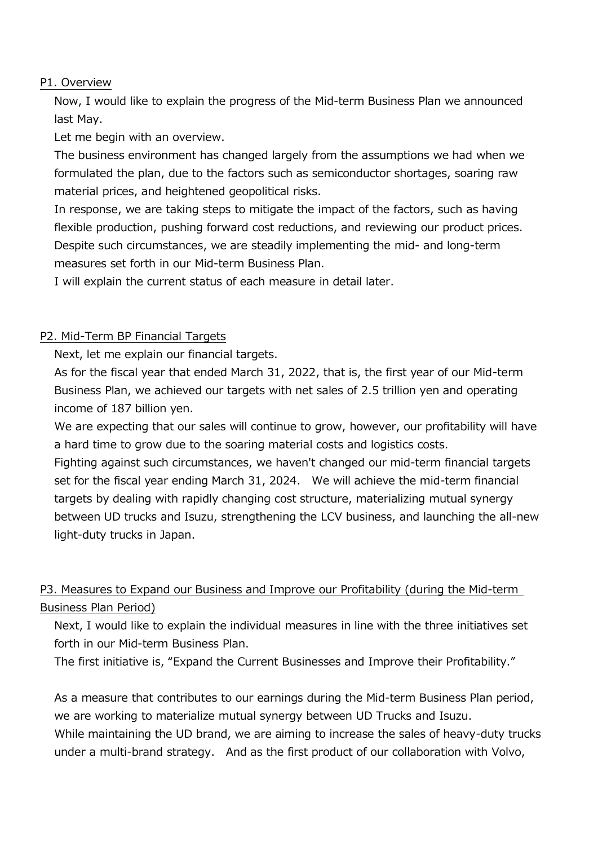#### P1. Overview

Now, I would like to explain the progress of the Mid-term Business Plan we announced last May.

Let me begin with an overview.

The business environment has changed largely from the assumptions we had when we formulated the plan, due to the factors such as semiconductor shortages, soaring raw material prices, and heightened geopolitical risks.

In response, we are taking steps to mitigate the impact of the factors, such as having flexible production, pushing forward cost reductions, and reviewing our product prices. Despite such circumstances, we are steadily implementing the mid- and long-term measures set forth in our Mid-term Business Plan.

I will explain the current status of each measure in detail later.

### P2. Mid-Term BP Financial Targets

Next, let me explain our financial targets.

As for the fiscal year that ended March 31, 2022, that is, the first year of our Mid-term Business Plan, we achieved our targets with net sales of 2.5 trillion yen and operating income of 187 billion yen.

We are expecting that our sales will continue to grow, however, our profitability will have a hard time to grow due to the soaring material costs and logistics costs.

Fighting against such circumstances, we haven't changed our mid-term financial targets set for the fiscal year ending March 31, 2024. We will achieve the mid-term financial targets by dealing with rapidly changing cost structure, materializing mutual synergy between UD trucks and Isuzu, strengthening the LCV business, and launching the all-new light-duty trucks in Japan.

# P3. Measures to Expand our Business and Improve our Profitability (during the Mid-term Business Plan Period)

Next, I would like to explain the individual measures in line with the three initiatives set forth in our Mid-term Business Plan.

The first initiative is, "Expand the Current Businesses and Improve their Profitability."

As a measure that contributes to our earnings during the Mid-term Business Plan period, we are working to materialize mutual synergy between UD Trucks and Isuzu. While maintaining the UD brand, we are aiming to increase the sales of heavy-duty trucks under a multi-brand strategy. And as the first product of our collaboration with Volvo,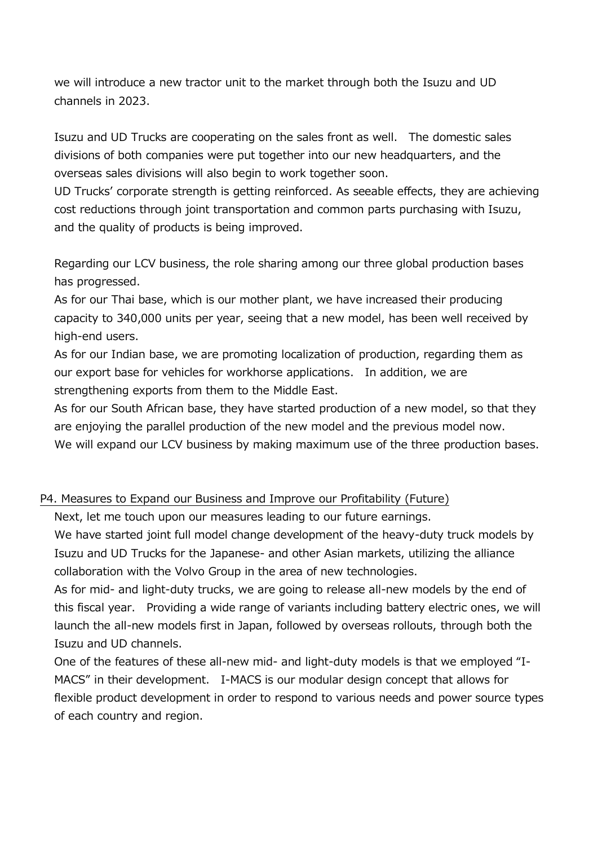we will introduce a new tractor unit to the market through both the Isuzu and UD channels in 2023.

Isuzu and UD Trucks are cooperating on the sales front as well. The domestic sales divisions of both companies were put together into our new headquarters, and the overseas sales divisions will also begin to work together soon.

UD Trucks' corporate strength is getting reinforced. As seeable effects, they are achieving cost reductions through joint transportation and common parts purchasing with Isuzu, and the quality of products is being improved.

Regarding our LCV business, the role sharing among our three global production bases has progressed.

As for our Thai base, which is our mother plant, we have increased their producing capacity to 340,000 units per year, seeing that a new model, has been well received by high-end users.

As for our Indian base, we are promoting localization of production, regarding them as our export base for vehicles for workhorse applications. In addition, we are strengthening exports from them to the Middle East.

As for our South African base, they have started production of a new model, so that they are enjoying the parallel production of the new model and the previous model now. We will expand our LCV business by making maximum use of the three production bases.

### P4. Measures to Expand our Business and Improve our Profitability (Future)

Next, let me touch upon our measures leading to our future earnings.

We have started joint full model change development of the heavy-duty truck models by Isuzu and UD Trucks for the Japanese- and other Asian markets, utilizing the alliance collaboration with the Volvo Group in the area of new technologies.

As for mid- and light-duty trucks, we are going to release all-new models by the end of this fiscal year. Providing a wide range of variants including battery electric ones, we will launch the all-new models first in Japan, followed by overseas rollouts, through both the Isuzu and UD channels.

One of the features of these all-new mid- and light-duty models is that we employed "I-MACS" in their development. I-MACS is our modular design concept that allows for flexible product development in order to respond to various needs and power source types of each country and region.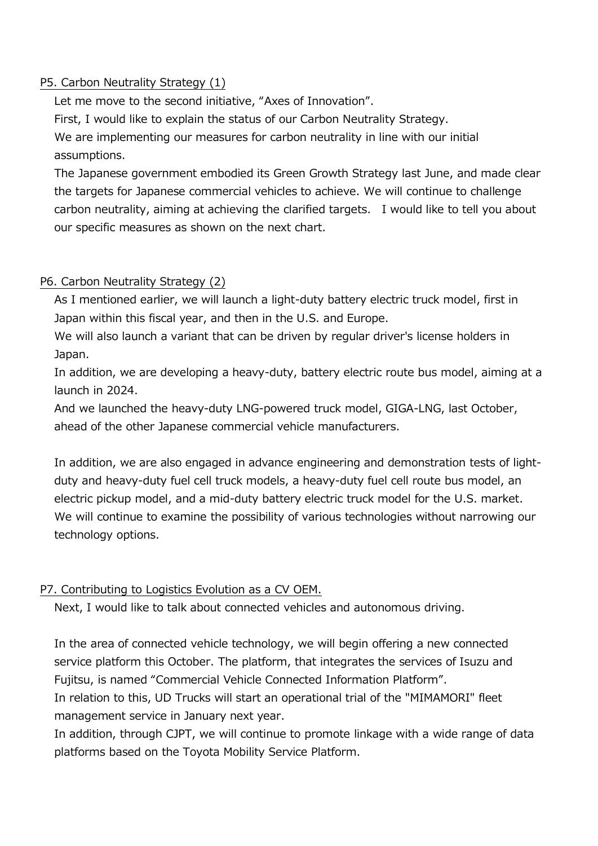## P5. Carbon Neutrality Strategy (1)

Let me move to the second initiative, "Axes of Innovation".

First, I would like to explain the status of our Carbon Neutrality Strategy.

We are implementing our measures for carbon neutrality in line with our initial assumptions.

The Japanese government embodied its Green Growth Strategy last June, and made clear the targets for Japanese commercial vehicles to achieve. We will continue to challenge carbon neutrality, aiming at achieving the clarified targets. I would like to tell you about our specific measures as shown on the next chart.

## P6. Carbon Neutrality Strategy (2)

As I mentioned earlier, we will launch a light-duty battery electric truck model, first in Japan within this fiscal year, and then in the U.S. and Europe.

We will also launch a variant that can be driven by regular driver's license holders in Japan.

In addition, we are developing a heavy-duty, battery electric route bus model, aiming at a launch in 2024.

And we launched the heavy-duty LNG-powered truck model, GIGA-LNG, last October, ahead of the other Japanese commercial vehicle manufacturers.

In addition, we are also engaged in advance engineering and demonstration tests of lightduty and heavy-duty fuel cell truck models, a heavy-duty fuel cell route bus model, an electric pickup model, and a mid-duty battery electric truck model for the U.S. market. We will continue to examine the possibility of various technologies without narrowing our technology options.

# P7. Contributing to Logistics Evolution as a CV OEM.

Next, I would like to talk about connected vehicles and autonomous driving.

In the area of connected vehicle technology, we will begin offering a new connected service platform this October. The platform, that integrates the services of Isuzu and Fujitsu, is named "Commercial Vehicle Connected Information Platform".

In relation to this, UD Trucks will start an operational trial of the "MIMAMORI" fleet management service in January next year.

In addition, through CJPT, we will continue to promote linkage with a wide range of data platforms based on the Toyota Mobility Service Platform.